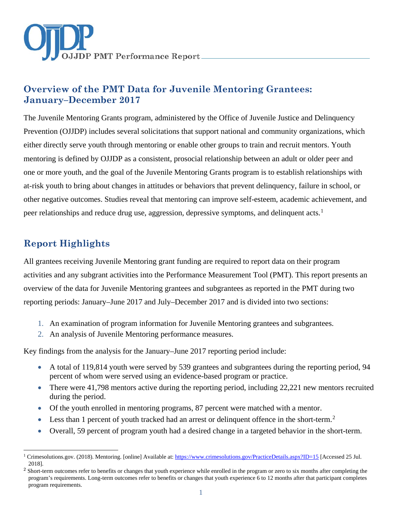

# **Overview of the PMT Data for Juvenile Mentoring Grantees: January–December 2017**

The Juvenile Mentoring Grants program, administered by the Office of Juvenile Justice and Delinquency Prevention (OJJDP) includes several solicitations that support national and community organizations, which either directly serve youth through mentoring or enable other groups to train and recruit mentors. Youth mentoring is defined by OJJDP as a consistent, prosocial relationship between an adult or older peer and one or more youth, and the goal of the Juvenile Mentoring Grants program is to establish relationships with at-risk youth to bring about changes in attitudes or behaviors that prevent delinquency, failure in school, or other negative outcomes. Studies reveal that mentoring can improve self-esteem, academic achievement, and peer relationships and reduce drug use, aggression, depressive symptoms, and delinquent acts.<sup>[1](#page-0-0)</sup>

# **Report Highlights**

 $\ddot{\phantom{a}}$ 

All grantees receiving Juvenile Mentoring grant funding are required to report data on their program activities and any subgrant activities into the Performance Measurement Tool (PMT). This report presents an overview of the data for Juvenile Mentoring grantees and subgrantees as reported in the PMT during two reporting periods: January–June 2017 and July–December 2017 and is divided into two sections:

- 1. An examination of program information for Juvenile Mentoring grantees and subgrantees.
- 2. An analysis of Juvenile Mentoring performance measures.

Key findings from the analysis for the January–June 2017 reporting period include:

- A total of 119,814 youth were served by 539 grantees and subgrantees during the reporting period, 94 percent of whom were served using an evidence-based program or practice.
- There were 41,798 mentors active during the reporting period, including 22,221 new mentors recruited during the period.
- Of the youth enrolled in mentoring programs, 87 percent were matched with a mentor.
- Less than 1 percent of youth tracked had an arrest or delinquent offence in the short-term.<sup>[2](#page-0-1)</sup>
- Overall, 59 percent of program youth had a desired change in a targeted behavior in the short-term.

<span id="page-0-0"></span><sup>&</sup>lt;sup>1</sup> Crimesolutions.gov. (2018). Mentoring. [online] Available at[: https://www.crimesolutions.gov/PracticeDetails.aspx?ID=15](https://www.crimesolutions.gov/PracticeDetails.aspx?ID=15) [Accessed 25 Jul. 2018].

<span id="page-0-1"></span><sup>&</sup>lt;sup>2</sup> Short-term outcomes refer to benefits or changes that youth experience while enrolled in the program or zero to six months after completing the program's requirements. Long-term outcomes refer to benefits or changes that youth experience 6 to 12 months after that participant completes program requirements.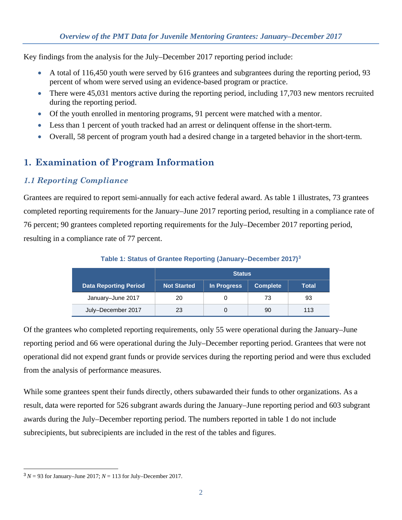Key findings from the analysis for the July–December 2017 reporting period include:

- A total of 116,450 youth were served by 616 grantees and subgrantees during the reporting period, 93 percent of whom were served using an evidence-based program or practice.
- There were 45,031 mentors active during the reporting period, including 17,703 new mentors recruited during the reporting period.
- Of the youth enrolled in mentoring programs, 91 percent were matched with a mentor.
- Less than 1 percent of youth tracked had an arrest or delinquent offense in the short-term.
- Overall, 58 percent of program youth had a desired change in a targeted behavior in the short-term.

# **1. Examination of Program Information**

### *1.1 Reporting Compliance*

Grantees are required to report semi-annually for each active federal award. As table 1 illustrates, 73 grantees completed reporting requirements for the January–June 2017 reporting period, resulting in a compliance rate of 76 percent; 90 grantees completed reporting requirements for the July–December 2017 reporting period, resulting in a compliance rate of 77 percent.

|                              | <b>Status</b>      |             |          |              |
|------------------------------|--------------------|-------------|----------|--------------|
| <b>Data Reporting Period</b> | <b>Not Started</b> | In Progress | Complete | <b>Total</b> |
| January-June 2017            | 20                 |             | 73       | 93           |
| July-December 2017           | 23                 |             | 90       | 113          |

**Table 1: Status of Grantee Reporting (January–December 2017)[3](#page-1-0)**

Of the grantees who completed reporting requirements, only 55 were operational during the January–June reporting period and 66 were operational during the July–December reporting period. Grantees that were not operational did not expend grant funds or provide services during the reporting period and were thus excluded from the analysis of performance measures.

While some grantees spent their funds directly, others subawarded their funds to other organizations. As a result, data were reported for 526 subgrant awards during the January–June reporting period and 603 subgrant awards during the July–December reporting period. The numbers reported in table 1 do not include subrecipients, but subrecipients are included in the rest of the tables and figures.

<span id="page-1-0"></span> $\overline{a}$  $3N = 93$  for January–June 2017;  $N = 113$  for July–December 2017.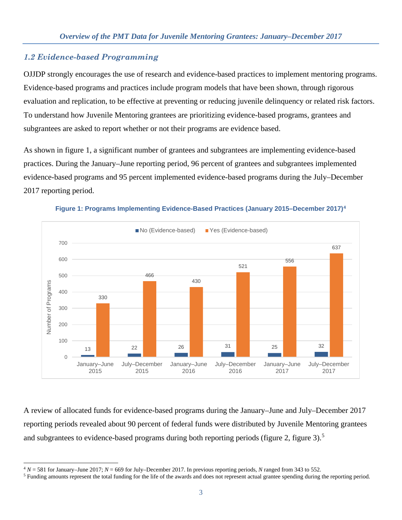## *1.2 Evidence-based Programming*

 $\ddot{\phantom{a}}$ 

OJJDP strongly encourages the use of research and evidence-based practices to implement mentoring programs. Evidence-based programs and practices include program models that have been shown, through rigorous evaluation and replication, to be effective at preventing or reducing juvenile delinquency or related risk factors. To understand how Juvenile Mentoring grantees are prioritizing evidence-based programs, grantees and subgrantees are asked to report whether or not their programs are evidence based.

As shown in figure 1, a significant number of grantees and subgrantees are implementing evidence-based practices. During the January–June reporting period, 96 percent of grantees and subgrantees implemented evidence-based programs and 95 percent implemented evidence-based programs during the July–December 2017 reporting period.



**Figure 1: Programs Implementing Evidence-Based Practices (January 2015–December 2017)[4](#page-2-0)**

A review of allocated funds for evidence-based programs during the January–June and July–December 2017 reporting periods revealed about 90 percent of federal funds were distributed by Juvenile Mentoring grantees and subgrantees to evidence-based programs during both reporting periods (figure 2, figure 3).<sup>[5](#page-2-1)</sup>

<span id="page-2-0"></span><sup>4</sup> *N* = 581 for January–June 2017; *N* = 669 for July–December 2017. In previous reporting periods, *N* ranged from 343 to 552.

<span id="page-2-1"></span><sup>5</sup> Funding amounts represent the total funding for the life of the awards and does not represent actual grantee spending during the reporting period.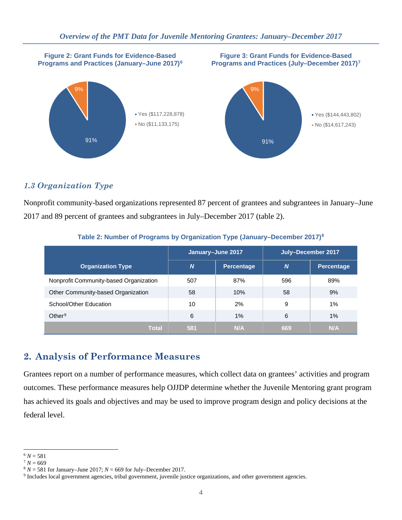

## *1.3 Organization Type*

Nonprofit community-based organizations represented 87 percent of grantees and subgrantees in January–June 2017 and 89 percent of grantees and subgrantees in July–December 2017 (table 2).

|                                        | January-June 2017 |                   | July-December 2017 |            |
|----------------------------------------|-------------------|-------------------|--------------------|------------|
| <b>Organization Type</b>               | <b>N</b>          | <b>Percentage</b> | $\boldsymbol{N}$   | Percentage |
| Nonprofit Community-based Organization | 507               | 87%               | 596                | 89%        |
| Other Community-based Organization     | 58                | 10%               | 58                 | 9%         |
| School/Other Education                 | 10                | 2%                | 9                  | 1%         |
| Other <sup>9</sup>                     | 6                 | $1\%$             | 6                  | 1%         |
| <b>Total</b>                           | 581               | N/A               | 669                | N/A        |

#### **Table 2: Number of Programs by Organization Type (January–December 2017)[8](#page-3-2)**

## **2. Analysis of Performance Measures**

Grantees report on a number of performance measures, which collect data on grantees' activities and program outcomes. These performance measures help OJJDP determine whether the Juvenile Mentoring grant program has achieved its goals and objectives and may be used to improve program design and policy decisions at the federal level.

 $\overline{a}$ 

<span id="page-3-2"></span><span id="page-3-1"></span>

<span id="page-3-0"></span> $^6 N = 581$ <br>  $^7 N = 669$ <br>  $^8 N = 581$  for January–June 2017;  $N = 669$  for July–December 2017.

<span id="page-3-3"></span><sup>&</sup>lt;sup>9</sup> Includes local government agencies, tribal government, juvenile justice organizations, and other government agencies.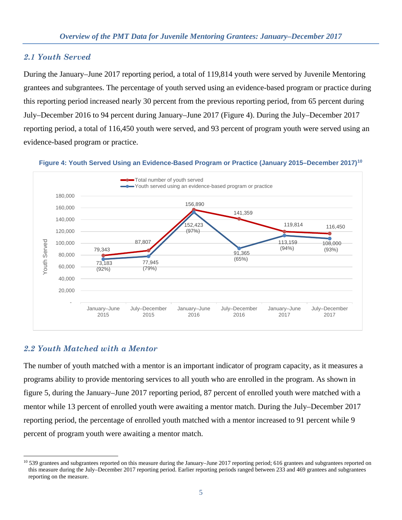### *2.1 Youth Served*

During the January–June 2017 reporting period, a total of 119,814 youth were served by Juvenile Mentoring grantees and subgrantees. The percentage of youth served using an evidence-based program or practice during this reporting period increased nearly 30 percent from the previous reporting period, from 65 percent during July–December 2016 to 94 percent during January–June 2017 (Figure 4). During the July–December 2017 reporting period, a total of 116,450 youth were served, and 93 percent of program youth were served using an evidence-based program or practice.



#### **Figure 4: Youth Served Using an Evidence-Based Program or Practice (January 2015–December 2017)[10](#page-4-0)**

### *2.2 Youth Matched with a Mentor*

 $\overline{a}$ 

The number of youth matched with a mentor is an important indicator of program capacity, as it measures a programs ability to provide mentoring services to all youth who are enrolled in the program. As shown in figure 5, during the January–June 2017 reporting period, 87 percent of enrolled youth were matched with a mentor while 13 percent of enrolled youth were awaiting a mentor match. During the July–December 2017 reporting period, the percentage of enrolled youth matched with a mentor increased to 91 percent while 9 percent of program youth were awaiting a mentor match.

<span id="page-4-0"></span><sup>&</sup>lt;sup>10</sup> 539 grantees and subgrantees reported on this measure during the January–June 2017 reporting period; 616 grantees and subgrantees reported on this measure during the July–December 2017 reporting period. Earlier reporting periods ranged between 233 and 469 grantees and subgrantees reporting on the measure.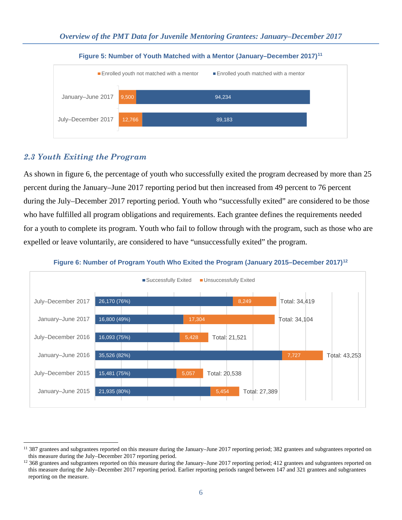![](_page_5_Figure_1.jpeg)

#### **Figure 5: Number of Youth Matched with a Mentor (January–December 2017)[11](#page-5-0)**

### *2.3 Youth Exiting the Program*

As shown in figure 6, the percentage of youth who successfully exited the program decreased by more than 25 percent during the January–June 2017 reporting period but then increased from 49 percent to 76 percent during the July–December 2017 reporting period. Youth who "successfully exited" are considered to be those who have fulfilled all program obligations and requirements. Each grantee defines the requirements needed for a youth to complete its program. Youth who fail to follow through with the program, such as those who are expelled or leave voluntarily, are considered to have "unsuccessfully exited" the program.

![](_page_5_Figure_5.jpeg)

#### **Figure 6: Number of Program Youth Who Exited the Program (January 2015–December 2017)[12](#page-5-1)**

<span id="page-5-0"></span> $\overline{a}$  $11$  387 grantees and subgrantees reported on this measure during the January–June 2017 reporting period; 382 grantees and subgrantees reported on this measure during the July–December 2017 reporting period.

<span id="page-5-1"></span> $12$  368 grantees and subgrantees reported on this measure during the January–June 2017 reporting period; 412 grantees and subgrantees reported on this measure during the July–December 2017 reporting period. Earlier reporting periods ranged between 147 and 321 grantees and subgrantees reporting on the measure.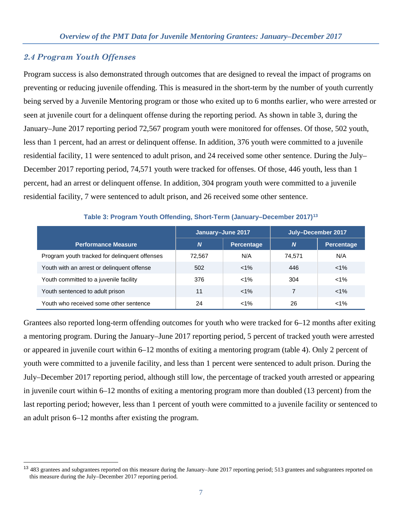#### *2.4 Program Youth Offenses*

 $\overline{a}$ 

Program success is also demonstrated through outcomes that are designed to reveal the impact of programs on preventing or reducing juvenile offending. This is measured in the short-term by the number of youth currently being served by a Juvenile Mentoring program or those who exited up to 6 months earlier, who were arrested or seen at juvenile court for a delinquent offense during the reporting period. As shown in table 3, during the January–June 2017 reporting period 72,567 program youth were monitored for offenses. Of those, 502 youth, less than 1 percent, had an arrest or delinquent offense. In addition, 376 youth were committed to a juvenile residential facility, 11 were sentenced to adult prison, and 24 received some other sentence. During the July– December 2017 reporting period, 74,571 youth were tracked for offenses. Of those, 446 youth, less than 1 percent, had an arrest or delinquent offense. In addition, 304 program youth were committed to a juvenile residential facility, 7 were sentenced to adult prison, and 26 received some other sentence.

|                                               | January-June 2017 |                   | July-December 2017 |            |
|-----------------------------------------------|-------------------|-------------------|--------------------|------------|
| Performance Measure <sup>'</sup>              | $\boldsymbol{N}$  | <b>Percentage</b> | N                  | Percentage |
| Program youth tracked for delinguent offenses | 72,567            | N/A               | 74,571             | N/A        |
| Youth with an arrest or delinguent offense    | 502               | $< 1\%$           | 446                | $< 1\%$    |
| Youth committed to a juvenile facility        | 376               | $< 1\%$           | 304                | $< 1\%$    |
| Youth sentenced to adult prison               | 11                | $< 1\%$           | 7                  | $< 1\%$    |
| Youth who received some other sentence        | 24                | $< 1\%$           | 26                 | $< 1\%$    |

**Table 3: Program Youth Offending, Short-Term (January–December 2017)[13](#page-6-0)**

Grantees also reported long-term offending outcomes for youth who were tracked for 6–12 months after exiting a mentoring program. During the January–June 2017 reporting period, 5 percent of tracked youth were arrested or appeared in juvenile court within 6–12 months of exiting a mentoring program (table 4). Only 2 percent of youth were committed to a juvenile facility, and less than 1 percent were sentenced to adult prison. During the July–December 2017 reporting period, although still low, the percentage of tracked youth arrested or appearing in juvenile court within 6–12 months of exiting a mentoring program more than doubled (13 percent) from the last reporting period; however, less than 1 percent of youth were committed to a juvenile facility or sentenced to an adult prison 6–12 months after existing the program.

<span id="page-6-0"></span><sup>&</sup>lt;sup>13</sup> 483 grantees and subgrantees reported on this measure during the January–June 2017 reporting period; 513 grantees and subgrantees reported on this measure during the July–December 2017 reporting period.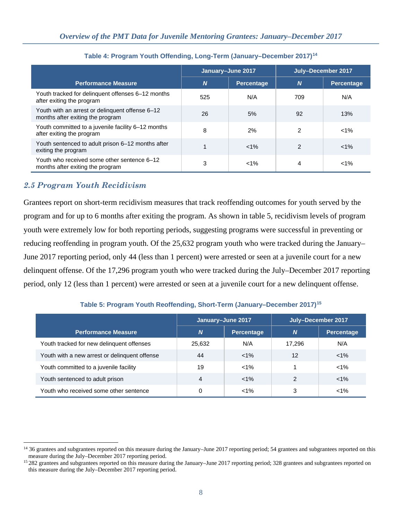|                                                                                     | January-June 2017 |                   | July-December 2017 |                   |
|-------------------------------------------------------------------------------------|-------------------|-------------------|--------------------|-------------------|
| <b>Performance Measure</b>                                                          | $\boldsymbol{N}$  | <b>Percentage</b> | N                  | <b>Percentage</b> |
| Youth tracked for delinquent offenses 6-12 months<br>after exiting the program      | 525               | N/A               | 709                | N/A               |
| Youth with an arrest or delinguent offense 6-12<br>months after exiting the program | 26                | 5%                | 92                 | 13%               |
| Youth committed to a juvenile facility 6-12 months<br>after exiting the program     | 8                 | 2%                | $\mathcal{P}$      | $< 1\%$           |
| Youth sentenced to adult prison 6-12 months after<br>exiting the program            |                   | $< 1\%$           | $\mathfrak{p}$     | $< 1\%$           |
| Youth who received some other sentence 6-12<br>months after exiting the program     | 3                 | $< 1\%$           | 4                  | $1\%$             |

**Table 4: Program Youth Offending, Long-Term (January–December 2017)[14](#page-7-0)**

## *2.5 Program Youth Recidivism*

Grantees report on short-term recidivism measures that track reoffending outcomes for youth served by the program and for up to 6 months after exiting the program. As shown in table 5, recidivism levels of program youth were extremely low for both reporting periods, suggesting programs were successful in preventing or reducing reoffending in program youth. Of the 25,632 program youth who were tracked during the January– June 2017 reporting period, only 44 (less than 1 percent) were arrested or seen at a juvenile court for a new delinquent offense. Of the 17,296 program youth who were tracked during the July–December 2017 reporting period, only 12 (less than 1 percent) were arrested or seen at a juvenile court for a new delinquent offense.

|                                               | January-June 2017 |                   | July-December 2017 |                   |
|-----------------------------------------------|-------------------|-------------------|--------------------|-------------------|
| <b>Performance Measure</b>                    | $\boldsymbol{N}$  | <b>Percentage</b> | <b>N</b>           | <b>Percentage</b> |
| Youth tracked for new delinguent offenses     | 25.632            | N/A               | 17.296             | N/A               |
| Youth with a new arrest or delinquent offense | 44                | $< 1\%$           | 12                 | $< 1\%$           |
| Youth committed to a juvenile facility        | 19                | $< 1\%$           |                    | $< 1\%$           |
| Youth sentenced to adult prison               | 4                 | $< 1\%$           | 2                  | $< 1\%$           |
| Youth who received some other sentence        | 0                 | $< 1\%$           | 3                  | $< 1\%$           |

**Table 5: Program Youth Reoffending, Short-Term (January–December 2017)[15](#page-7-1)**

<span id="page-7-0"></span> $\overline{a}$ <sup>14</sup> 36 grantees and subgrantees reported on this measure during the January–June 2017 reporting period; 54 grantees and subgrantees reported on this measure during the July–December 2017 reporting period.<br><sup>15</sup> 282 grantees and subgrantees reported on this measure during the January–June 2017 reporting period; 328 grantees and subgrantees reported on

<span id="page-7-1"></span>this measure during the July–December 2017 reporting period.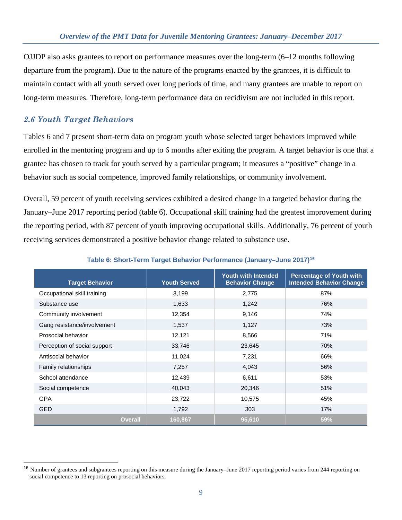OJJDP also asks grantees to report on performance measures over the long-term (6–12 months following departure from the program). Due to the nature of the programs enacted by the grantees, it is difficult to maintain contact with all youth served over long periods of time, and many grantees are unable to report on long-term measures. Therefore, long-term performance data on recidivism are not included in this report.

### *2.6 Youth Target Behaviors*

 $\overline{a}$ 

Tables 6 and 7 present short-term data on program youth whose selected target behaviors improved while enrolled in the mentoring program and up to 6 months after exiting the program. A target behavior is one that a grantee has chosen to track for youth served by a particular program; it measures a "positive" change in a behavior such as social competence, improved family relationships, or community involvement.

Overall, 59 percent of youth receiving services exhibited a desired change in a targeted behavior during the January–June 2017 reporting period (table 6). Occupational skill training had the greatest improvement during the reporting period, with 87 percent of youth improving occupational skills. Additionally, 76 percent of youth receiving services demonstrated a positive behavior change related to substance use.

| <b>Target Behavior</b>       | <b>Youth Served</b> | <b>Youth with Intended</b><br><b>Behavior Change</b> | <b>Percentage of Youth with</b><br><b>Intended Behavior Change</b> |
|------------------------------|---------------------|------------------------------------------------------|--------------------------------------------------------------------|
| Occupational skill training  | 3,199               | 2,775                                                | 87%                                                                |
| Substance use                | 1,633               | 1,242                                                | 76%                                                                |
| Community involvement        | 12,354              | 9,146                                                | 74%                                                                |
| Gang resistance/involvement  | 1,537               | 1,127                                                | 73%                                                                |
| Prosocial behavior           | 12,121              | 8,566                                                | 71%                                                                |
| Perception of social support | 33,746              | 23,645                                               | 70%                                                                |
| Antisocial behavior          | 11,024              | 7,231                                                | 66%                                                                |
| <b>Family relationships</b>  | 7,257               | 4,043                                                | 56%                                                                |
| School attendance            | 12,439              | 6,611                                                | 53%                                                                |
| Social competence            | 40,043              | 20,346                                               | 51%                                                                |
| <b>GPA</b>                   | 23,722              | 10,575                                               | 45%                                                                |
| <b>GED</b>                   | 1,792               | 303                                                  | 17%                                                                |
| <b>Overall</b>               | 160,867             | 95,610                                               | 59%                                                                |

#### **Table 6: Short-Term Target Behavior Performance (January–June 2017)[16](#page-8-0)**

<span id="page-8-0"></span><sup>&</sup>lt;sup>16</sup> Number of grantees and subgrantees reporting on this measure during the January–June 2017 reporting period varies from 244 reporting on social competence to 13 reporting on prosocial behaviors.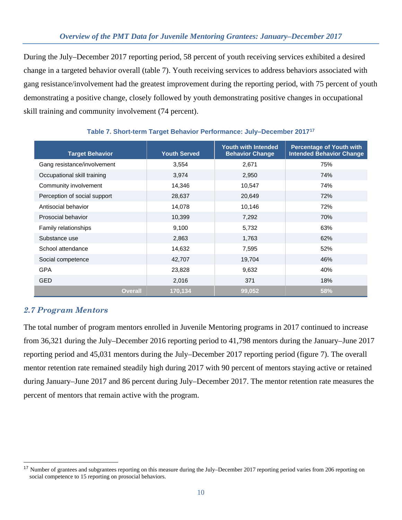### *Overview of the PMT Data for Juvenile Mentoring Grantees: January–December 2017*

During the July–December 2017 reporting period, 58 percent of youth receiving services exhibited a desired change in a targeted behavior overall (table 7). Youth receiving services to address behaviors associated with gang resistance/involvement had the greatest improvement during the reporting period, with 75 percent of youth demonstrating a positive change, closely followed by youth demonstrating positive changes in occupational skill training and community involvement (74 percent).

| <b>Target Behavior</b>       | <b>Youth Served</b> | <b>Youth with Intended</b><br><b>Behavior Change</b> | <b>Percentage of Youth with</b><br><b>Intended Behavior Change</b> |
|------------------------------|---------------------|------------------------------------------------------|--------------------------------------------------------------------|
| Gang resistance/involvement  | 3,554               | 2,671                                                | 75%                                                                |
| Occupational skill training  | 3,974               | 2,950                                                | 74%                                                                |
| Community involvement        | 14,346              | 10,547                                               | 74%                                                                |
| Perception of social support | 28,637              | 20,649                                               | 72%                                                                |
| Antisocial behavior          | 14,078              | 10,146                                               | 72%                                                                |
| Prosocial behavior           | 10,399              | 7,292                                                | 70%                                                                |
| Family relationships         | 9,100               | 5,732                                                | 63%                                                                |
| Substance use                | 2,863               | 1,763                                                | 62%                                                                |
| School attendance            | 14,632              | 7,595                                                | 52%                                                                |
| Social competence            | 42,707              | 19,704                                               | 46%                                                                |
| <b>GPA</b>                   | 23,828              | 9,632                                                | 40%                                                                |
| <b>GED</b>                   | 2,016               | 371                                                  | 18%                                                                |
| <b>Overall</b>               | 170,134             | 99,052                                               | 58%                                                                |

#### **Table 7. Short-term Target Behavior Performance: July–December 2017[17](#page-9-0)**

### *2.7 Program Mentors*

 $\overline{a}$ 

The total number of program mentors enrolled in Juvenile Mentoring programs in 2017 continued to increase from 36,321 during the July–December 2016 reporting period to 41,798 mentors during the January–June 2017 reporting period and 45,031 mentors during the July–December 2017 reporting period (figure 7). The overall mentor retention rate remained steadily high during 2017 with 90 percent of mentors staying active or retained during January–June 2017 and 86 percent during July–December 2017. The mentor retention rate measures the percent of mentors that remain active with the program.

<span id="page-9-0"></span><sup>&</sup>lt;sup>17</sup> Number of grantees and subgrantees reporting on this measure during the July–December 2017 reporting period varies from 206 reporting on social competence to 15 reporting on prosocial behaviors.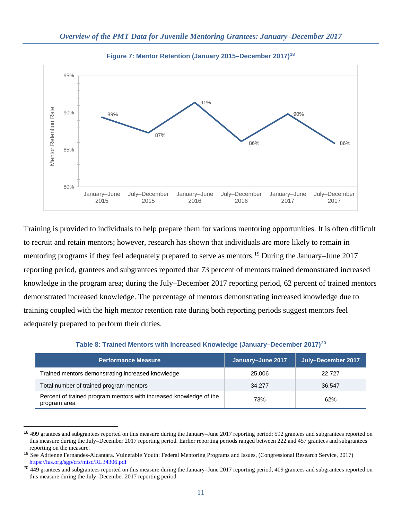![](_page_10_Figure_1.jpeg)

**Figure 7: Mentor Retention (January 2015–December 2017)[18](#page-10-0)**

Training is provided to individuals to help prepare them for various mentoring opportunities. It is often difficult to recruit and retain mentors; however, research has shown that individuals are more likely to remain in mentoring programs if they feel adequately prepared to serve as mentors.<sup>[19](#page-10-1)</sup> During the January–June 2017 reporting period, grantees and subgrantees reported that 73 percent of mentors trained demonstrated increased knowledge in the program area; during the July–December 2017 reporting period, 62 percent of trained mentors demonstrated increased knowledge. The percentage of mentors demonstrating increased knowledge due to training coupled with the high mentor retention rate during both reporting periods suggest mentors feel adequately prepared to perform their duties.

| <b>Performance Measure</b>                                                         | January-June 2017 | July-December 2017 |
|------------------------------------------------------------------------------------|-------------------|--------------------|
| Trained mentors demonstrating increased knowledge                                  | 25,006            | 22,727             |
| Total number of trained program mentors                                            | 34.277            | 36.547             |
| Percent of trained program mentors with increased knowledge of the<br>program area | 73%               | 62%                |

**Table 8: Trained Mentors with Increased Knowledge (January–December 2017)[20](#page-10-2)**

 $\overline{a}$ 

<span id="page-10-0"></span><sup>&</sup>lt;sup>18</sup> 499 grantees and subgrantees reported on this measure during the January–June 2017 reporting period; 592 grantees and subgrantees reported on this measure during the July–December 2017 reporting period. Earlier reporting periods ranged between 222 and 457 grantees and subgrantees reporting on the measure.

<span id="page-10-1"></span><sup>&</sup>lt;sup>19</sup> See Adrienne Fernandes-Alcantara. Vulnerable Youth: Federal Mentoring Programs and Issues, (Congressional Research Service, 2017) <https://fas.org/sgp/crs/misc/RL34306.pdf>

<span id="page-10-2"></span><sup>&</sup>lt;sup>20</sup> 449 grantees and subgrantees reported on this measure during the January–June 2017 reporting period; 409 grantees and subgrantees reported on this measure during the July–December 2017 reporting period.